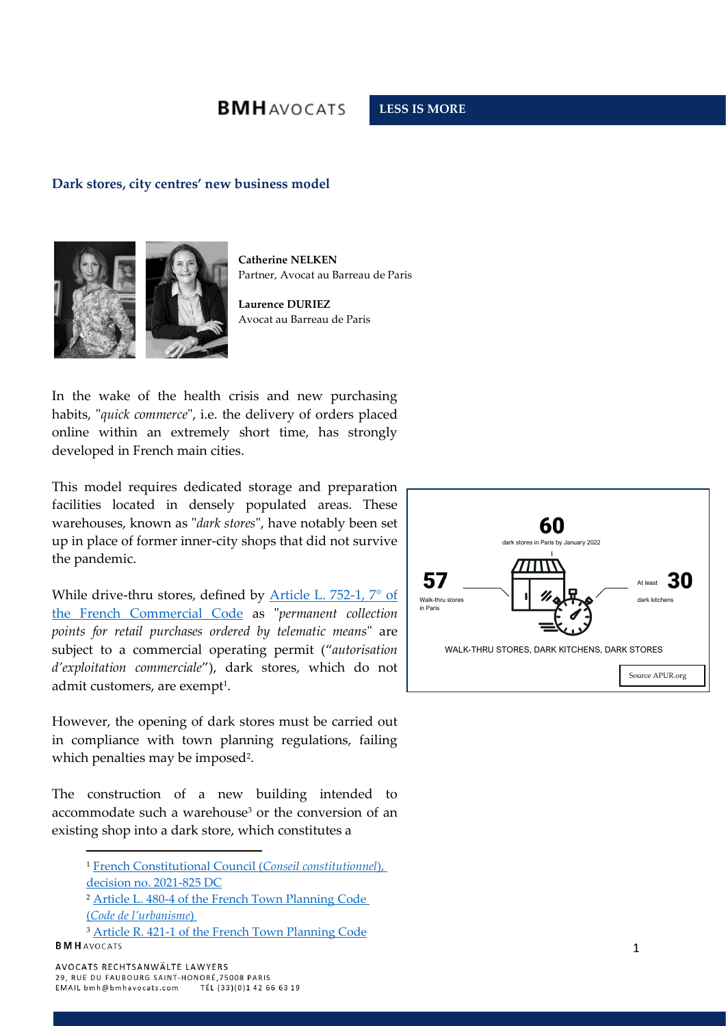# **BMHAVOCATS**

### **LESS IS MORE**

#### **Dark stores, city centres' new business model**



**Catherine NELKEN** Partner, Avocat au Barreau de Paris

**Laurence DURIEZ** Avocat au Barreau de Paris

In the wake of the health crisis and new purchasing habits, "*quick commerce*", i.e. the delivery of orders placed online within an extremely short time, has strongly developed in French main cities.

This model requires dedicated storage and preparation facilities located in densely populated areas. These warehouses, known as "*dark stores*", have notably been set up in place of former inner-city shops that did not survive the pandemic.

While drive-thru stores, defined by Article L. 752-1, 7° of [the French Commercial Code](https://www.legifrance.gouv.fr/codes/article_lc/LEGIARTI000037671151) as "*permanent collection points for retail purchases ordered by telematic means*" are subject to a commercial operating permit ("*autorisation d'exploitation commerciale*"), dark stores, which do not admit customers, are exempt $^{\rm 1}.$ 

However, the opening of dark stores must be carried out in compliance with town planning regulations, failing which penalties may be imposed<sup>2</sup> .

The construction of a new building intended to accommodate such a warehouse<sup>3</sup> or the conversion of an existing shop into a dark store, which constitutes a



<sup>1</sup> [French Constitutional Council \(](https://www.conseil-constitutionnel.fr/actualites/communique/decision-n-2021-825-dc-du-13-aout-2021-communique-de-presse#:~:text=Par%20sa%20d%C3%A9cision%20n%C2%B0,de%20plus%20de%20soixante%20d%C3%A9put%C3%A9s.)*Conseil constitutionnel*), [decision no. 2021-825 DC](https://www.conseil-constitutionnel.fr/actualites/communique/decision-n-2021-825-dc-du-13-aout-2021-communique-de-presse#:~:text=Par%20sa%20d%C3%A9cision%20n%C2%B0,de%20plus%20de%20soixante%20d%C3%A9put%C3%A9s.)

<sup>2</sup> [Article L. 480-4 of the French Town Planning Code](https://www.legifrance.gouv.fr/codes/article_lc/LEGIARTI000043978506)  (*[Code de l'ur](https://www.legifrance.gouv.fr/codes/article_lc/LEGIARTI000043978506)banisme*)

<sup>&</sup>lt;sup>3</sup> [Article R. 421-1 of the French Town Planning Code](https://www.legifrance.gouv.fr/codes/article_lc/LEGIARTI000031764636) **BMH** AVOCATS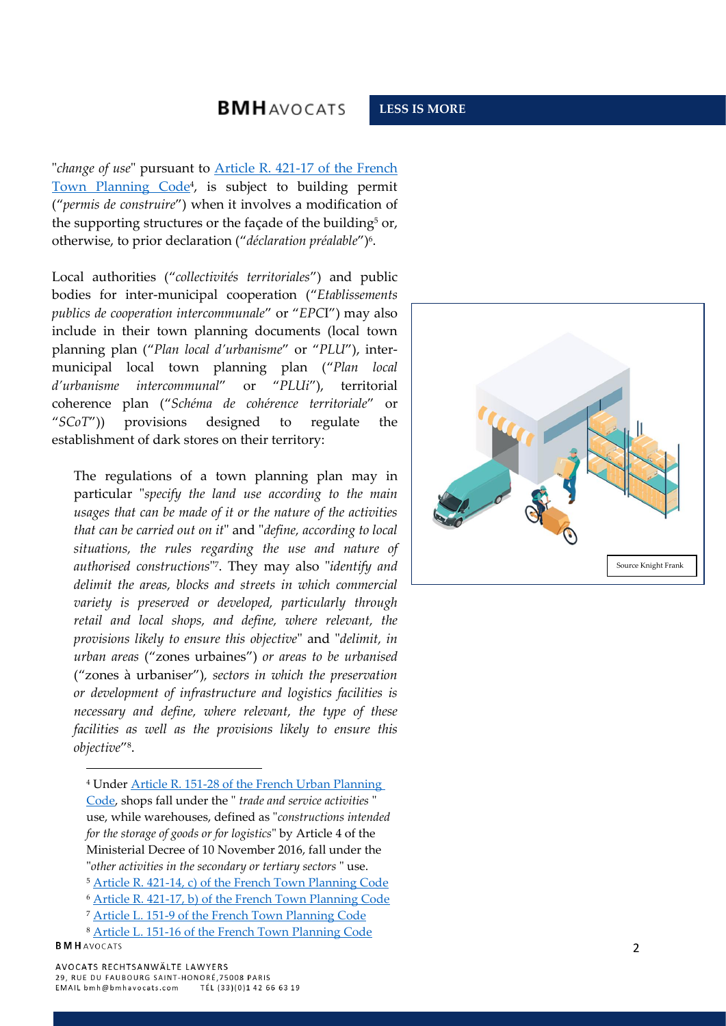## **BMHAVOCATS**

"*change of use*" pursuant to [Article R. 421-17 of the French](https://www.legifrance.gouv.fr/codes/article_lc/LEGIARTI000034355355)  [Town Planning Code](https://www.legifrance.gouv.fr/codes/article_lc/LEGIARTI000034355355)<sup>4</sup>, is subject to building permit ("*permis de construire*") when it involves a modification of the supporting structures or the façade of the building<sup>5</sup> or, otherwise, to prior declaration ("*déclaration préalable*")<sup>6</sup> .

Local authorities ("*collectivités territoriales*") and public bodies for inter-municipal cooperation ("*Etablissements publics de cooperation intercommunale*" or "*EPC*I") may also include in their town planning documents (local town planning plan ("*Plan local d'urbanisme*" or "*PLU*"), intermunicipal local town planning plan ("*Plan local d'urbanisme intercommunal*" or "*PLUi*"), territorial coherence plan ("*Schéma de cohérence territoriale*" or "*SCoT*")) provisions designed to regulate the establishment of dark stores on their territory:

The regulations of a town planning plan may in particular "*specify the land use according to the main usages that can be made of it or the nature of the activities that can be carried out on it*" and "*define, according to local situations, the rules regarding the use and nature of authorised constructions*" 7 . They may also "*identify and delimit the areas, blocks and streets in which commercial variety is preserved or developed, particularly through retail and local shops, and define, where relevant, the provisions likely to ensure this objective*" and "*delimit, in urban areas* ("zones urbaines") *or areas to be urbanised* ("zones à urbanise*r*")*, sectors in which the preservation or development of infrastructure and logistics facilities is necessary and define, where relevant, the type of these facilities as well as the provisions likely to ensure this objective*" 8 .

<sup>4</sup> Under Article R. 151-28 of the French Urban Planning [Code,](https://www.legifrance.gouv.fr/codes/article_lc/LEGIARTI000041525837) shops fall under the " *trade and service activities* " use, while warehouses, defined as "*constructions intended for the storage of goods or for logistics*" by Article 4 of the Ministerial Decree of 10 November 2016, fall under the "*other activities in the secondary or tertiary sectors* " use. <sup>5</sup> [Article R. 421-14, c\) of the French Town Planning Code](https://www.legifrance.gouv.fr/codes/article_lc/LEGIARTI000031764577) <sup>6</sup> [Article R. 421-17, b\) of the French Town Planning Code](https://www.legifrance.gouv.fr/codes/article_lc/LEGIARTI000034355355) <sup>7</sup> [Article L. 151-9 of the French Town Planning Code](https://www.legifrance.gouv.fr/codes/article_lc/LEGIARTI000031211173)



<sup>8</sup> [Article L. 151-16 of the French Town Planning Code](https://www.legifrance.gouv.fr/codes/article_lc/LEGIARTI000039783805) **BMH** AVOCATS